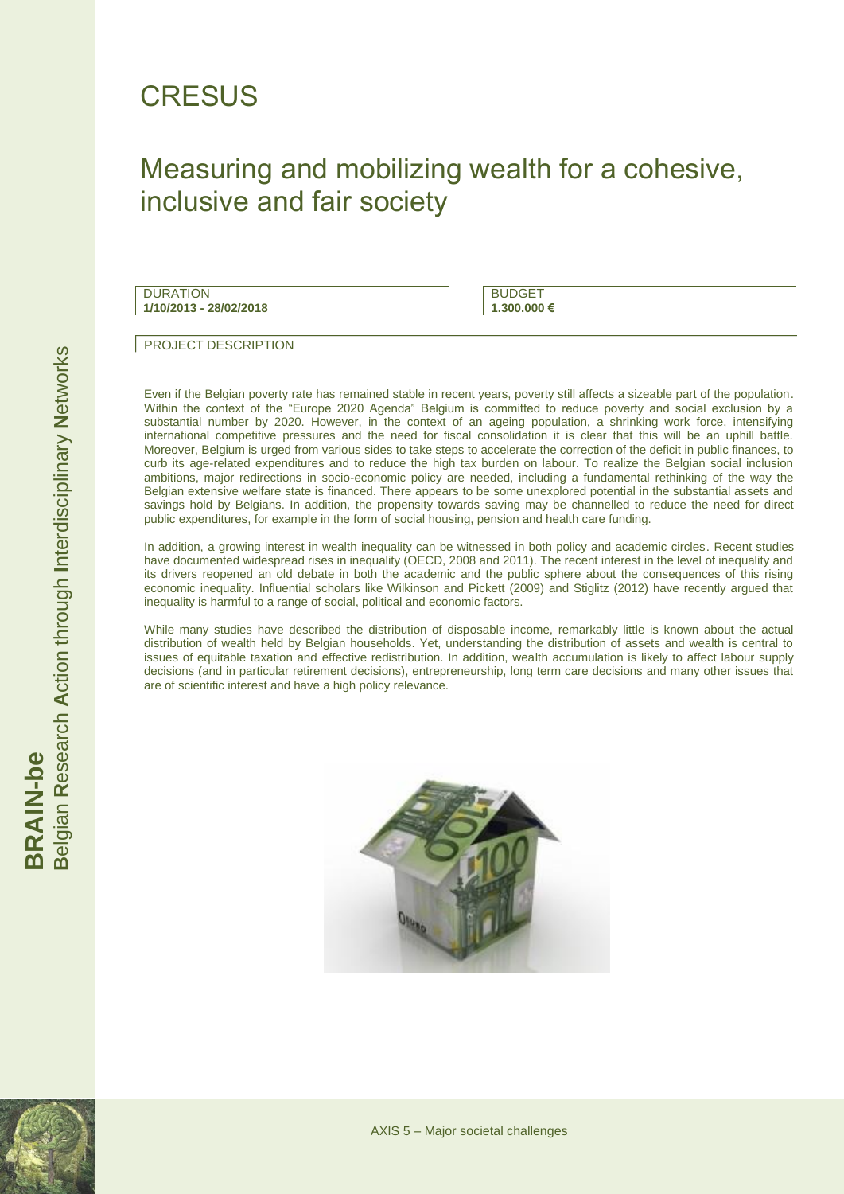## **CRESUS**

### Measuring and mobilizing wealth for a cohesive, inclusive and fair society

**DURATION 1/10/2013 - 28/02/2018**

**BUDGET 1.300.000 €**

PROJECT DESCRIPTION

Even if the Belgian poverty rate has remained stable in recent years, poverty still affects a sizeable part of the population. Within the context of the "Europe 2020 Agenda" Belgium is committed to reduce poverty and social exclusion by a substantial number by 2020. However, in the context of an ageing population, a shrinking work force, intensifying international competitive pressures and the need for fiscal consolidation it is clear that this will be an uphill battle. Moreover, Belgium is urged from various sides to take steps to accelerate the correction of the deficit in public finances, to curb its age-related expenditures and to reduce the high tax burden on labour. To realize the Belgian social inclusion ambitions, major redirections in socio-economic policy are needed, including a fundamental rethinking of the way the Belgian extensive welfare state is financed. There appears to be some unexplored potential in the substantial assets and savings hold by Belgians. In addition, the propensity towards saving may be channelled to reduce the need for direct public expenditures, for example in the form of social housing, pension and health care funding.

In addition, a growing interest in wealth inequality can be witnessed in both policy and academic circles. Recent studies have documented widespread rises in inequality (OECD, 2008 and 2011). The recent interest in the level of inequality and its drivers reopened an old debate in both the academic and the public sphere about the consequences of this rising economic inequality. Influential scholars like Wilkinson and Pickett (2009) and Stiglitz (2012) have recently argued that inequality is harmful to a range of social, political and economic factors.

While many studies have described the distribution of disposable income, remarkably little is known about the actual distribution of wealth held by Belgian households. Yet, understanding the distribution of assets and wealth is central to issues of equitable taxation and effective redistribution. In addition, wealth accumulation is likely to affect labour supply decisions (and in particular retirement decisions), entrepreneurship, long term care decisions and many other issues that are of scientific interest and have a high policy relevance.